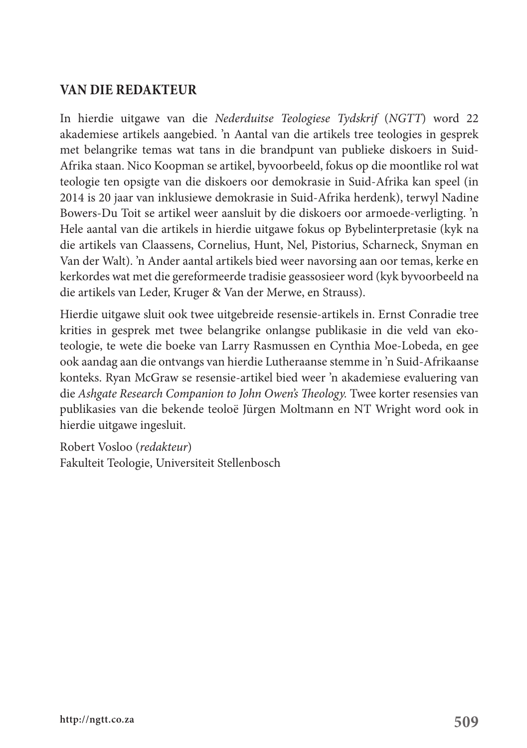## **VAN DIE REDAKTEUR**

In hierdie uitgawe van die *Nederduitse Teologiese Tydskrif* (*NGTT*) word 22 akademiese artikels aangebied. 'n Aantal van die artikels tree teologies in gesprek met belangrike temas wat tans in die brandpunt van publieke diskoers in Suid-Afrika staan. Nico Koopman se artikel, byvoorbeeld, fokus op die moontlike rol wat teologie ten opsigte van die diskoers oor demokrasie in Suid-Afrika kan speel (in 2014 is 20 jaar van inklusiewe demokrasie in Suid-Afrika herdenk), terwyl Nadine Bowers-Du Toit se artikel weer aansluit by die diskoers oor armoede-verligting. 'n Hele aantal van die artikels in hierdie uitgawe fokus op Bybelinterpretasie (kyk na die artikels van Claassens, Cornelius, Hunt, Nel, Pistorius, Scharneck, Snyman en Van der Walt). 'n Ander aantal artikels bied weer navorsing aan oor temas, kerke en kerkordes wat met die gereformeerde tradisie geassosieer word (kyk byvoorbeeld na die artikels van Leder, Kruger & Van der Merwe, en Strauss).

Hierdie uitgawe sluit ook twee uitgebreide resensie-artikels in. Ernst Conradie tree krities in gesprek met twee belangrike onlangse publikasie in die veld van ekoteologie, te wete die boeke van Larry Rasmussen en Cynthia Moe-Lobeda, en gee ook aandag aan die ontvangs van hierdie Lutheraanse stemme in 'n Suid-Afrikaanse konteks. Ryan McGraw se resensie-artikel bied weer 'n akademiese evaluering van die *Ashgate Research Companion to John Owen's Theology.* Twee korter resensies van publikasies van die bekende teoloë Jürgen Moltmann en NT Wright word ook in hierdie uitgawe ingesluit.

Robert Vosloo (*redakteur*) Fakulteit Teologie, Universiteit Stellenbosch